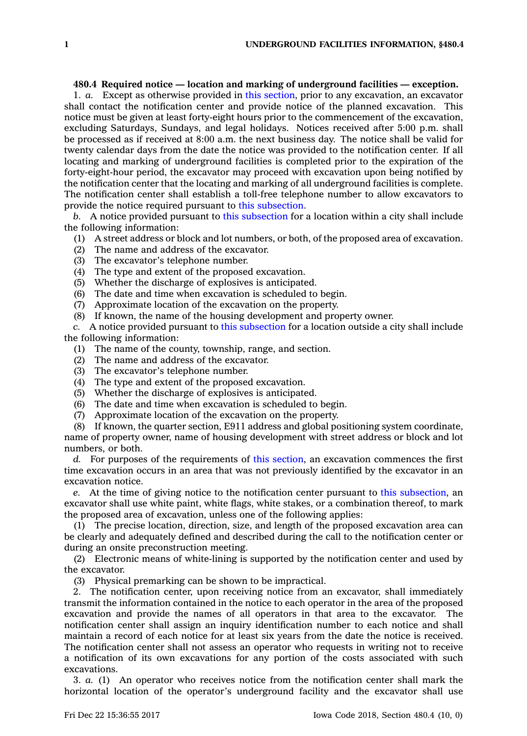## **480.4 Required notice — location and marking of underground facilities — exception.**

1. *a.* Except as otherwise provided in this [section](https://www.legis.iowa.gov/docs/code/480.4.pdf), prior to any excavation, an excavator shall contact the notification center and provide notice of the planned excavation. This notice must be given at least forty-eight hours prior to the commencement of the excavation, excluding Saturdays, Sundays, and legal holidays. Notices received after 5:00 p.m. shall be processed as if received at 8:00 a.m. the next business day. The notice shall be valid for twenty calendar days from the date the notice was provided to the notification center. If all locating and marking of underground facilities is completed prior to the expiration of the forty-eight-hour period, the excavator may proceed with excavation upon being notified by the notification center that the locating and marking of all underground facilities is complete. The notification center shall establish <sup>a</sup> toll-free telephone number to allow excavators to provide the notice required pursuant to this [subsection](https://www.legis.iowa.gov/docs/code/480.4.pdf).

*b.* A notice provided pursuant to this [subsection](https://www.legis.iowa.gov/docs/code/480.4.pdf) for <sup>a</sup> location within <sup>a</sup> city shall include the following information:

- (1) A street address or block and lot numbers, or both, of the proposed area of excavation.
- (2) The name and address of the excavator.
- (3) The excavator's telephone number.
- (4) The type and extent of the proposed excavation.
- (5) Whether the discharge of explosives is anticipated.
- (6) The date and time when excavation is scheduled to begin.
- (7) Approximate location of the excavation on the property.
- (8) If known, the name of the housing development and property owner.

*c.* A notice provided pursuant to this [subsection](https://www.legis.iowa.gov/docs/code/480.4.pdf) for <sup>a</sup> location outside <sup>a</sup> city shall include the following information:

- (1) The name of the county, township, range, and section.
- (2) The name and address of the excavator.
- (3) The excavator's telephone number.
- (4) The type and extent of the proposed excavation.
- (5) Whether the discharge of explosives is anticipated.
- (6) The date and time when excavation is scheduled to begin.
- (7) Approximate location of the excavation on the property.

(8) If known, the quarter section, E911 address and global positioning system coordinate, name of property owner, name of housing development with street address or block and lot numbers, or both.

*d.* For purposes of the requirements of this [section](https://www.legis.iowa.gov/docs/code/480.4.pdf), an excavation commences the first time excavation occurs in an area that was not previously identified by the excavator in an excavation notice.

*e.* At the time of giving notice to the notification center pursuant to this [subsection](https://www.legis.iowa.gov/docs/code/480.4.pdf), an excavator shall use white paint, white flags, white stakes, or <sup>a</sup> combination thereof, to mark the proposed area of excavation, unless one of the following applies:

(1) The precise location, direction, size, and length of the proposed excavation area can be clearly and adequately defined and described during the call to the notification center or during an onsite preconstruction meeting.

(2) Electronic means of white-lining is supported by the notification center and used by the excavator.

(3) Physical premarking can be shown to be impractical.

2. The notification center, upon receiving notice from an excavator, shall immediately transmit the information contained in the notice to each operator in the area of the proposed excavation and provide the names of all operators in that area to the excavator. The notification center shall assign an inquiry identification number to each notice and shall maintain <sup>a</sup> record of each notice for at least six years from the date the notice is received. The notification center shall not assess an operator who requests in writing not to receive <sup>a</sup> notification of its own excavations for any portion of the costs associated with such excavations.

3. *a.* (1) An operator who receives notice from the notification center shall mark the horizontal location of the operator's underground facility and the excavator shall use